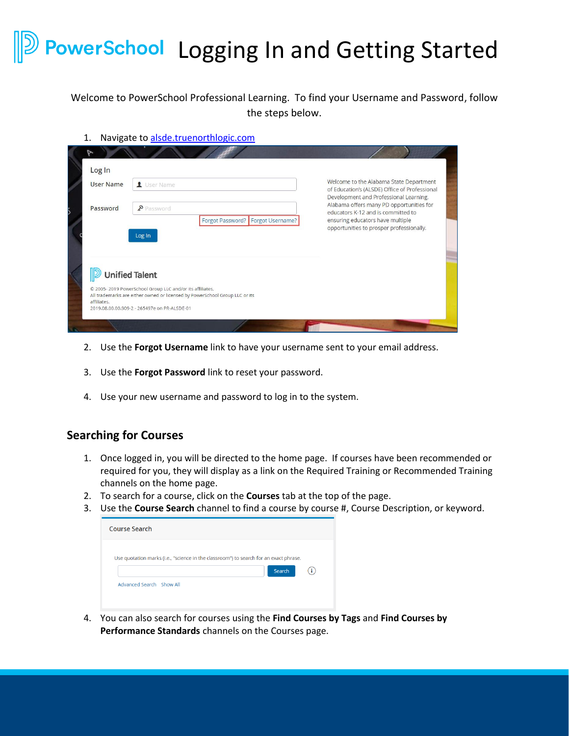## **PowerSchool** Logging In and Getting Started

Welcome to PowerSchool Professional Learning. To find your Username and Password, follow the steps below.

1. Navigate to alsde.truenorthlogic.com

| Log In           |                                   | Welcome to the Alabama State Department                                                 |
|------------------|-----------------------------------|-----------------------------------------------------------------------------------------|
| <b>User Name</b> | User Name                         | of Education's (ALSDE) Office of Professional<br>Development and Professional Learning. |
| Password         | Password                          | Alabama offers many PD opportunities for<br>educators K-12 and is committed to          |
|                  | Forgot Password? Forgot Username? | ensuring educators have multiple<br>opportunities to prosper professionally.            |
|                  |                                   |                                                                                         |
|                  | Log In                            |                                                                                         |
|                  | <b>Unified Talent</b>             |                                                                                         |

- 2. Use the **Forgot Username** link to have your username sent to your email address.
- 3. Use the **Forgot Password** link to reset your password.
- 4. Use your new username and password to log in to the system.

## **Searching for Courses**

- 1. Once logged in, you will be directed to the home page. If courses have been recommended or required for you, they will display as a link on the Required Training or Recommended Training channels on the home page.
- 2. To search for a course, click on the **Courses** tab at the top of the page.
- 3. Use the **Course Search** channel to find a course by course #, Course Description, or keyword.

| Use quotation marks (i.e., "science in the classroom") to search for an exact phrase. |
|---------------------------------------------------------------------------------------|
| Search                                                                                |
|                                                                                       |

4. You can also search for courses using the **Find Courses by Tags** and **Find Courses by Performance Standards** channels on the Courses page.